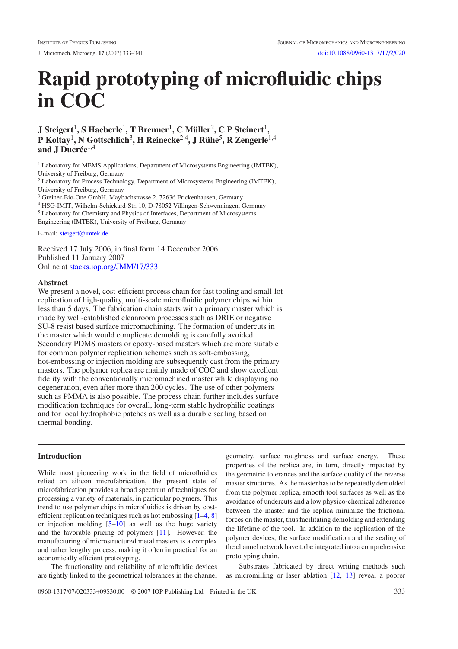J. Micromech. Microeng. **17** (2007) 333–341 [doi:10.1088/0960-1317/17/2/020](http://dx.doi.org/10.1088/0960-1317/17/2/020)

# **Rapid prototyping of microfluidic chips in COC**

**J Steigert**1**, S Haeberle**1**, T Brenner**1**,CMuller ¨** <sup>2</sup>**, C P Steinert**1**, P Koltay**1**, N Gottschlich**3**, H Reinecke**2,4**,JRuhe ¨** <sup>5</sup>**, R Zengerle**1,4 and J Ducrée<sup>1,4</sup>

<sup>1</sup> Laboratory for MEMS Applications, Department of Microsystems Engineering (IMTEK), University of Freiburg, Germany

<sup>2</sup> Laboratory for Process Technology, Department of Microsystems Engineering (IMTEK), University of Freiburg, Germany

<sup>3</sup> Greiner-Bio-One GmbH, Maybachstrasse 2, 72636 Frickenhausen, Germany

<sup>4</sup> HSG-IMIT, Wilhelm-Schickard-Str. 10, D-78052 Villingen-Schwenningen, Germany

<sup>5</sup> Laboratory for Chemistry and Physics of Interfaces, Department of Microsystems

Engineering (IMTEK), University of Freiburg, Germany

E-mail: [steigert@imtek.de](mailto:steigert@imtek.de)

Received 17 July 2006, in final form 14 December 2006 Published 11 January 2007 Online at [stacks.iop.org/JMM/17/333](http://stacks.iop.org/JMM/17/333)

# **Abstract**

We present a novel, cost-efficient process chain for fast tooling and small-lot replication of high-quality, multi-scale microfluidic polymer chips within less than 5 days. The fabrication chain starts with a primary master which is made by well-established cleanroom processes such as DRIE or negative SU-8 resist based surface micromachining. The formation of undercuts in the master which would complicate demolding is carefully avoided. Secondary PDMS masters or epoxy-based masters which are more suitable for common polymer replication schemes such as soft-embossing, hot-embossing or injection molding are subsequently cast from the primary masters. The polymer replica are mainly made of COC and show excellent fidelity with the conventionally micromachined master while displaying no degeneration, even after more than 200 cycles. The use of other polymers such as PMMA is also possible. The process chain further includes surface modification techniques for overall, long-term stable hydrophilic coatings and for local hydrophobic patches as well as a durable sealing based on thermal bonding.

# **Introduction**

While most pioneering work in the field of microfluidics relied on silicon microfabrication, the present state of microfabrication provides a broad spectrum of techniques for processing a variety of materials, in particular polymers. This trend to use polymer chips in microfluidics is driven by costefficient replication techniques such as hot embossing [\[1–4,](#page-7-0) [8\]](#page-7-0) or injection molding  $[5-10]$  as well as the huge variety and the favorable pricing of polymers [\[11](#page-7-0)]. However, the manufacturing of microstructured metal masters is a complex and rather lengthy process, making it often impractical for an economically efficient prototyping.

The functionality and reliability of microfluidic devices are tightly linked to the geometrical tolerances in the channel

geometry, surface roughness and surface energy. These properties of the replica are, in turn, directly impacted by the geometric tolerances and the surface quality of the reverse master structures. As the master has to be repeatedly demolded from the polymer replica, smooth tool surfaces as well as the avoidance of undercuts and a low physico-chemical adherence between the master and the replica minimize the frictional forces on the master, thus facilitating demolding and extending the lifetime of the tool. In addition to the replication of the polymer devices, the surface modification and the sealing of the channel network have to be integrated into a comprehensive prototyping chain.

Substrates fabricated by direct writing methods such as micromilling or laser ablation [\[12,](#page-7-0) [13](#page-7-0)] reveal a poorer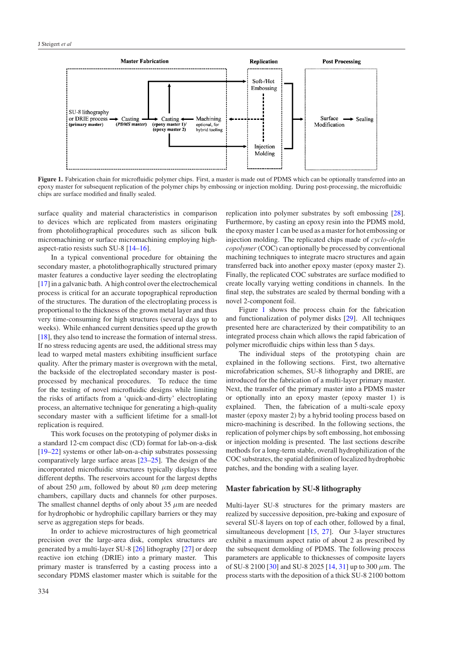<span id="page-1-0"></span>

Figure 1. Fabrication chain for microfluidic polymer chips. First, a master is made out of PDMS which can be optionally transferred into an epoxy master for subsequent replication of the polymer chips by embossing or injection molding. During post-processing, the microfluidic chips are surface modified and finally sealed.

surface quality and material characteristics in comparison to devices which are replicated from masters originating from photolithographical procedures such as silicon bulk micromachining or surface micromachining employing highaspect-ratio resists such SU-8 [\[14](#page-7-0)[–16\]](#page-8-0).

In a typical conventional procedure for obtaining the secondary master, a photolithographically structured primary master features a conductive layer seeding the electroplating [\[17\]](#page-8-0) in a galvanic bath. A high control over the electrochemical process is critical for an accurate topographical reproduction of the structures. The duration of the electroplating process is proportional to the thickness of the grown metal layer and thus very time-consuming for high structures (several days up to weeks). While enhanced current densities speed up the growth [\[18\]](#page-8-0), they also tend to increase the formation of internal stress. If no stress reducing agents are used, the additional stress may lead to warped metal masters exhibiting insufficient surface quality. After the primary master is overgrown with the metal, the backside of the electroplated secondary master is postprocessed by mechanical procedures. To reduce the time for the testing of novel microfluidic designs while limiting the risks of artifacts from a 'quick-and-dirty' electroplating process, an alternative technique for generating a high-quality secondary master with a sufficient lifetime for a small-lot replication is required.

This work focuses on the prototyping of polymer disks in a standard 12-cm compact disc (CD) format for lab-on-a-disk [\[19–22](#page-8-0)] systems or other lab-on-a-chip substrates possessing comparatively large surface areas [\[23–25\]](#page-8-0). The design of the incorporated microfluidic structures typically displays three different depths. The reservoirs account for the largest depths of about 250  $\mu$ m, followed by about 80  $\mu$ m deep metering chambers, capillary ducts and channels for other purposes. The smallest channel depths of only about 35  $\mu$ m are needed for hydrophobic or hydrophilic capillary barriers or they may serve as aggregation steps for beads.

In order to achieve microstructures of high geometrical precision over the large-area disk, complex structures are generated by a multi-layer SU-8 [\[26](#page-8-0)] lithography [\[27\]](#page-8-0) or deep reactive ion etching (DRIE) into a primary master. This primary master is transferred by a casting process into a secondary PDMS elastomer master which is suitable for the

replication into polymer substrates by soft embossing [\[28\]](#page-8-0). Furthermore, by casting an epoxy resin into the PDMS mold, the epoxy master 1 can be used as a master for hot embossing or injection molding. The replicated chips made of *cyclo-olefin copolymer*(COC) can optionally be processed by conventional machining techniques to integrate macro structures and again transferred back into another epoxy master (epoxy master 2). Finally, the replicated COC substrates are surface modified to create locally varying wetting conditions in channels. In the final step, the substrates are sealed by thermal bonding with a novel 2-component foil.

Figure 1 shows the process chain for the fabrication and functionalization of polymer disks [\[29\]](#page-8-0). All techniques presented here are characterized by their compatibility to an integrated process chain which allows the rapid fabrication of polymer microfluidic chips within less than 5 days.

The individual steps of the prototyping chain are explained in the following sections. First, two alternative microfabrication schemes, SU-8 lithography and DRIE, are introduced for the fabrication of a multi-layer primary master. Next, the transfer of the primary master into a PDMS master or optionally into an epoxy master (epoxy master 1) is explained. Then, the fabrication of a multi-scale epoxy master (epoxy master 2) by a hybrid tooling process based on micro-machining is described. In the following sections, the replication of polymer chips by soft embossing, hot embossing or injection molding is presented. The last sections describe methods for a long-term stable, overall hydrophilization of the COC substrates, the spatial definition of localized hydrophobic patches, and the bonding with a sealing layer.

#### **Master fabrication by SU-8 lithography**

Multi-layer SU-8 structures for the primary masters are realized by successive deposition, pre-baking and exposure of several SU-8 layers on top of each other, followed by a final, simultaneous development [\[15,](#page-8-0) [27\]](#page-8-0). Our 3-layer structures exhibit a maximum aspect ratio of about 2 as prescribed by the subsequent demolding of PDMS. The following process parameters are applicable to thicknesses of composite layers of SU-8 2100 [\[30](#page-8-0)] and SU-8 2025 [\[14,](#page-7-0) [31\]](#page-8-0) up to 300 *µ*m. The process starts with the deposition of a thick SU-8 2100 bottom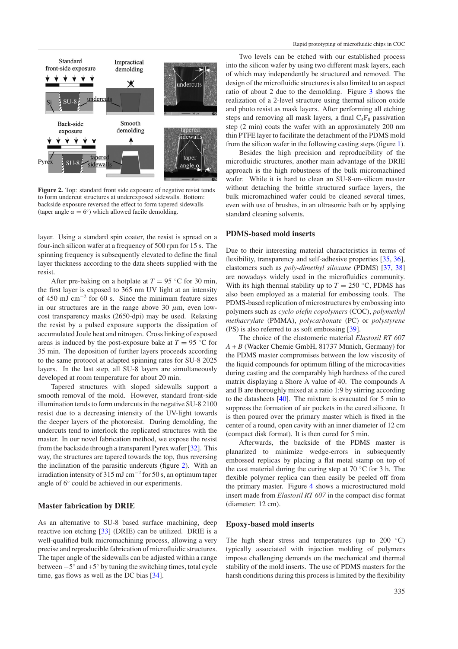

Figure 2. Top: standard front side exposure of negative resist tends to form undercut structures at underexposed sidewalls. Bottom: backside exposure reversed the effect to form tapered sidewalls (taper angle  $\alpha = 6^\circ$ ) which allowed facile demolding.

layer. Using a standard spin coater, the resist is spread on a four-inch silicon wafer at a frequency of 500 rpm for 15 s. The spinning frequency is subsequently elevated to define the final layer thickness according to the data sheets supplied with the resist.

After pre-baking on a hotplate at  $T = 95$  °C for 30 min, the first layer is exposed to 365 nm UV light at an intensity of 450 mJ cm−<sup>2</sup> for 60 s. Since the minimum feature sizes in our structures are in the range above 30  $\mu$ m, even lowcost transparency masks (2650-dpi) may be used. Relaxing the resist by a pulsed exposure supports the dissipation of accumulated Joule heat and nitrogen. Cross linking of exposed areas is induced by the post-exposure bake at  $T = 95$  °C for 35 min. The deposition of further layers proceeds according to the same protocol at adapted spinning rates for SU-8 2025 layers. In the last step, all SU-8 layers are simultaneously developed at room temperature for about 20 min.

Tapered structures with sloped sidewalls support a smooth removal of the mold. However, standard front-side illumination tends to form undercuts in the negative SU-8 2100 resist due to a decreasing intensity of the UV-light towards the deeper layers of the photoresist. During demolding, the undercuts tend to interlock the replicated structures with the master. In our novel fabrication method, we expose the resist from the backside through a transparent Pyrex wafer [\[32\]](#page-8-0). This way, the structures are tapered towards the top, thus reversing the inclination of the parasitic undercuts (figure 2). With an irradiation intensity of 315 mJ cm<sup>-2</sup> for 50 s, an optimum taper angle of 6◦ could be achieved in our experiments.

#### **Master fabrication by DRIE**

As an alternative to SU-8 based surface machining, deep reactive ion etching [\[33\]](#page-8-0) (DRIE) can be utilized. DRIE is a well-qualified bulk micromachining process, allowing a very precise and reproducible fabrication of microfluidic structures. The taper angle of the sidewalls can be adjusted within a range between  $-5°$  and  $+5°$  by tuning the switching times, total cycle time, gas flows as well as the DC bias [\[34](#page-8-0)].

Two levels can be etched with our established process into the silicon wafer by using two different mask layers, each of which may independently be structured and removed. The design of the microfluidic structures is also limited to an aspect ratio of about 2 due to the demolding. Figure [3](#page-3-0) shows the realization of a 2-level structure using thermal silicon oxide and photo resist as mask layers. After performing all etching steps and removing all mask layers, a final  $C_4F_8$  passivation step (2 min) coats the wafer with an approximately 200 nm thin PTFE layer to facilitate the detachment of the PDMS mold from the silicon wafer in the following casting steps (figure [1\)](#page-1-0).

Besides the high precision and reproducibility of the microfluidic structures, another main advantage of the DRIE approach is the high robustness of the bulk micromachined wafer. While it is hard to clean an SU-8-on-silicon master without detaching the brittle structured surface layers, the bulk micromachined wafer could be cleaned several times, even with use of brushes, in an ultrasonic bath or by applying standard cleaning solvents.

# **PDMS-based mold inserts**

Due to their interesting material characteristics in terms of flexibility, transparency and self-adhesive properties [\[35](#page-8-0), [36\]](#page-8-0), elastomers such as *poly-dimethyl siloxane* (PDMS) [\[37,](#page-8-0) [38](#page-8-0)] are nowadays widely used in the microfluidics community. With its high thermal stability up to  $T = 250$  °C, PDMS has also been employed as a material for embossing tools. The PDMS-based replication of microstructures by embossing into polymers such as *cyclo olefin copolymers* (COC), *polymethyl methacrylate* (PMMA), *polycarbonate* (PC) or *polystyrene* (PS) is also referred to as soft embossing [\[39](#page-8-0)].

The choice of the elastomeric material *Elastosil RT 607 A* + *B* (Wacker Chemie GmbH, 81737 Munich, Germany) for the PDMS master compromises between the low viscosity of the liquid compounds for optimum filling of the microcavities during casting and the comparably high hardness of the cured matrix displaying a Shore A value of 40. The compounds A and B are thoroughly mixed at a ratio 1:9 by stirring according to the datasheets [\[40\]](#page-8-0). The mixture is evacuated for 5 min to suppress the formation of air pockets in the cured silicone. It is then poured over the primary master which is fixed in the center of a round, open cavity with an inner diameter of 12 cm (compact disk format). It is then cured for 5 min.

Afterwards, the backside of the PDMS master is planarized to minimize wedge-errors in subsequently embossed replicas by placing a flat metal stamp on top of the cast material during the curing step at  $70^{\circ}$ C for 3 h. The flexible polymer replica can then easily be peeled off from the primary master. Figure [4](#page-3-0) shows a microstructured mold insert made from *Elastosil RT 607* in the compact disc format (diameter: 12 cm).

## **Epoxy-based mold inserts**

The high shear stress and temperatures (up to  $200 °C$ ) typically associated with injection molding of polymers impose challenging demands on the mechanical and thermal stability of the mold inserts. The use of PDMS masters for the harsh conditions during this process is limited by the flexibility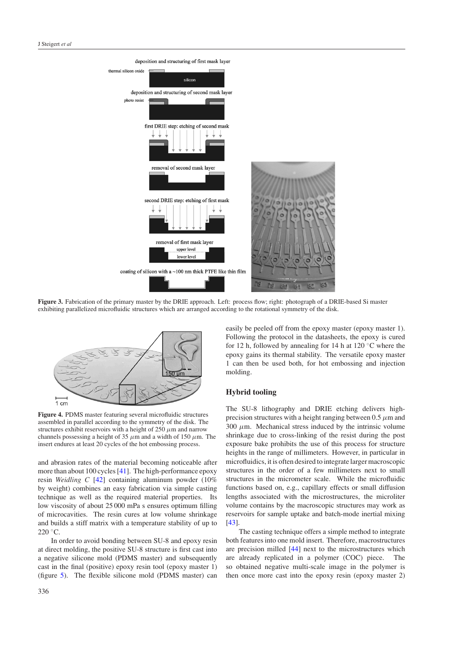<span id="page-3-0"></span>

**Figure 3.** Fabrication of the primary master by the DRIE approach. Left: process flow; right: photograph of a DRIE-based Si master exhibiting parallelized microfluidic structures which are arranged according to the rotational symmetry of the disk.



**Figure 4.** PDMS master featuring several microfluidic structures assembled in parallel according to the symmetry of the disk. The structures exhibit reservoirs with a height of  $250 \mu$ m and narrow channels possessing a height of 35  $\mu$ m and a width of 150  $\mu$ m. The insert endures at least 20 cycles of the hot embossing process.

and abrasion rates of the material becoming noticeable after more than about 100 cycles [\[41\]](#page-8-0). The high-performance epoxy resin *Weidling C* [\[42\]](#page-8-0) containing aluminum powder (10% by weight) combines an easy fabrication via simple casting technique as well as the required material properties. Its low viscosity of about 25 000 mPa s ensures optimum filling of microcavities. The resin cures at low volume shrinkage and builds a stiff matrix with a temperature stability of up to 220 ◦C.

In order to avoid bonding between SU-8 and epoxy resin at direct molding, the positive SU-8 structure is first cast into a negative silicone mold (PDMS master) and subsequently cast in the final (positive) epoxy resin tool (epoxy master 1) (figure [5\)](#page-4-0). The flexible silicone mold (PDMS master) can

easily be peeled off from the epoxy master (epoxy master 1). Following the protocol in the datasheets, the epoxy is cured for 12 h, followed by annealing for 14 h at 120  $\degree$ C where the epoxy gains its thermal stability. The versatile epoxy master 1 can then be used both, for hot embossing and injection molding.

# **Hybrid tooling**

The SU-8 lithography and DRIE etching delivers highprecision structures with a height ranging between  $0.5 \mu$ m and  $300 \mu m$ . Mechanical stress induced by the intrinsic volume shrinkage due to cross-linking of the resist during the post exposure bake prohibits the use of this process for structure heights in the range of millimeters. However, in particular in microfluidics, it is often desired to integrate larger macroscopic structures in the order of a few millimeters next to small structures in the micrometer scale. While the microfluidic functions based on, e.g., capillary effects or small diffusion lengths associated with the microstructures, the microliter volume contains by the macroscopic structures may work as reservoirs for sample uptake and batch-mode inertial mixing [\[43](#page-8-0)].

The casting technique offers a simple method to integrate both features into one mold insert. Therefore, macrostructures are precision milled [\[44\]](#page-8-0) next to the microstructures which are already replicated in a polymer (COC) piece. The so obtained negative multi-scale image in the polymer is then once more cast into the epoxy resin (epoxy master 2)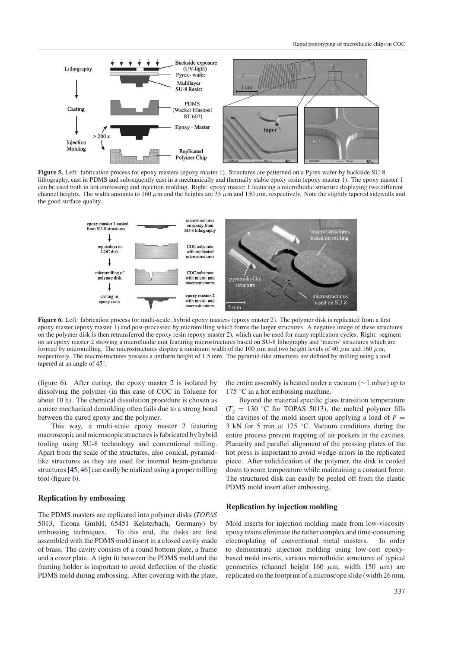<span id="page-4-0"></span>

**Figure 5.** Left: fabrication process for epoxy masters (epoxy master 1). Structures are patterned on a Pyrex wafer by backside SU-8 lithography, cast in PDMS and subsequently cast in a mechanically and thermally stable epoxy resin (epoxy master 1). The epoxy master 1 can be used both in hot embossing and injection molding. Right: epoxy master 1 featuring a microfluidic structure displaying two different channel heights. The width amounts to 160  $\mu$ m and the heights are 35  $\mu$ m and 150  $\mu$ m, respectively. Note the slightly tapered sidewalls and the good surface quality.



**Figure 6.** Left: fabrication process for multi-scale, hybrid epoxy masters (epoxy master 2). The polymer disk is replicated from a first epoxy master (epoxy master 1) and post-processed by micromilling which forms the larger structures. A negative image of these structures on the polymer disk is then retransferred the epoxy resin (epoxy master 2), which can be used for many replication cycles. Right: segment on an epoxy master 2 showing a microfluidic unit featuring microstructures based on SU-8 lithography and 'macro' structures which are formed by micromilling. The microstructures display a minimum width of the 100  $\mu$ m and two height levels of 40  $\mu$ m and 160  $\mu$ m, respectively. The macrostructures possess a uniform height of 1.5 mm. The pyramid-like structures are defined by milling using a tool tapered at an angle of 45◦.

(figure 6). After curing, the epoxy master 2 is isolated by dissolving the polymer (in this case of COC in Toluene for about 10 h). The chemical dissolution procedure is chosen as a mere mechanical demolding often fails due to a strong bond between the cured epoxy and the polymer.

This way, a multi-scale epoxy master 2 featuring macroscopic and microscopic structures is fabricated by hybrid tooling using SU-8 technology and conventional milling. Apart from the scale of the structures, also conical, pyramidlike structures as they are used for internal beam-guidance structures [\[45](#page-8-0), [46](#page-8-0)] can easily be realized using a proper milling tool (figure  $6$ ).

# **Replication by embossing**

The PDMS masters are replicated into polymer disks (*TOPAS* 5013, Ticona GmbH, 65451 Kelsterbach, Germany) by embossing techniques. To this end, the disks are first assembled with the PDMS mold insert in a closed cavity made of brass. The cavity consists of a round bottom plate, a frame and a cover plate. A tight fit between the PDMS mold and the framing holder is important to avoid deflection of the elastic PDMS mold during embossing. After covering with the plate,

the entire assembly is heated under a vacuum (∼1 mbar) up to 175  $\degree$ C in a hot embossing machine.

Beyond the material specific glass transition temperature  $(T<sub>g</sub> = 130 °C$  for TOPAS 5013), the melted polymer fills the cavities of the mold insert upon applying a load of  $F =$ 3 kN for 5 min at 175 ◦C. Vacuum conditions during the entire process prevent trapping of air pockets in the cavities. Planarity and parallel alignment of the pressing plates of the hot press is important to avoid wedge-errors in the replicated piece. After solidification of the polymer, the disk is cooled down to room temperature while maintaining a constant force. The structured disk can easily be peeled off from the elastic PDMS mold insert after embossing.

#### **Replication by injection molding**

Mold inserts for injection molding made from low-viscosity epoxy resins eliminate the rather complex and time-consuming electroplating of conventional metal masters. In order to demonstrate injection molding using low-cost epoxybased mold inserts, various microfluidic structures of typical geometries (channel height 160  $\mu$ m, width 150  $\mu$ m) are replicated on the footprint of a microscope slide (width 26 mm,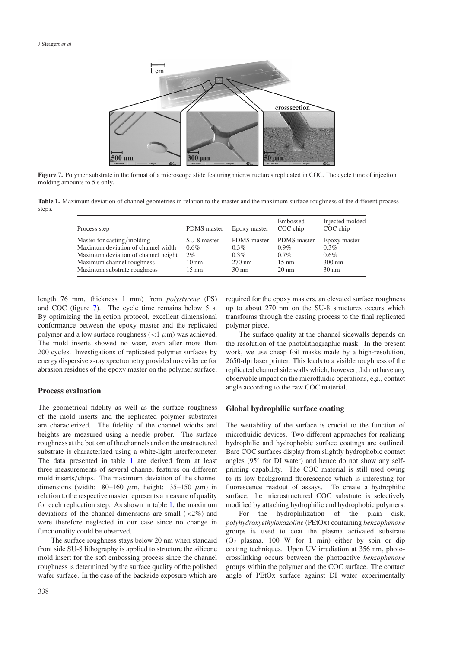

**Figure 7.** Polymer substrate in the format of a microscope slide featuring microstructures replicated in COC. The cycle time of injection molding amounts to 5 s only.

**Table 1.** Maximum deviation of channel geometries in relation to the master and the maximum surface roughness of the different process steps.

| Process step                        | <b>PDMS</b> master | Epoxy master     | Embossed<br>COC chip | Injected molded<br>COC chip |
|-------------------------------------|--------------------|------------------|----------------------|-----------------------------|
| Master for casting/molding          | SU-8 master        | PDMS master      | <b>PDMS</b> master   | Epoxy master                |
| Maximum deviation of channel width  | $0.6\%$            | $0.3\%$          | $0.9\%$              | $0.3\%$                     |
| Maximum deviation of channel height | 2%                 | $0.3\%$          | $0.7\%$              | $0.6\%$                     |
| Maximum channel roughness           | $10 \text{ nm}$    | $270 \text{ nm}$ | $15 \text{ nm}$      | $300 \text{ nm}$            |
| Maximum substrate roughness         | $15 \text{ nm}$    | $30 \text{ nm}$  | $20 \text{ nm}$      | $30 \text{ nm}$             |

length 76 mm, thickness 1 mm) from *polystyrene* (PS) and COC (figure 7). The cycle time remains below 5 s. By optimizing the injection protocol, excellent dimensional conformance between the epoxy master and the replicated polymer and a low surface roughness  $\left($  < 1  $\mu$ m) was achieved. The mold inserts showed no wear, even after more than 200 cycles. Investigations of replicated polymer surfaces by energy dispersive x-ray spectrometry provided no evidence for abrasion residues of the epoxy master on the polymer surface.

# **Process evaluation**

The geometrical fidelity as well as the surface roughness of the mold inserts and the replicated polymer substrates are characterized. The fidelity of the channel widths and heights are measured using a needle prober. The surface roughness at the bottom of the channels and on the unstructured substrate is characterized using a white-light interferometer. The data presented in table 1 are derived from at least three measurements of several channel features on different mold inserts*/*chips. The maximum deviation of the channel dimensions (width:  $80-160 \mu m$ , height:  $35-150 \mu m$ ) in relation to the respective master represents a measure of quality for each replication step. As shown in table 1, the maximum deviations of the channel dimensions are small (*<*2%) and were therefore neglected in our case since no change in functionality could be observed.

The surface roughness stays below 20 nm when standard front side SU-8 lithography is applied to structure the silicone mold insert for the soft embossing process since the channel roughness is determined by the surface quality of the polished wafer surface. In the case of the backside exposure which are

required for the epoxy masters, an elevated surface roughness up to about 270 nm on the SU-8 structures occurs which transforms through the casting process to the final replicated polymer piece.

The surface quality at the channel sidewalls depends on the resolution of the photolithographic mask. In the present work, we use cheap foil masks made by a high-resolution, 2650-dpi laser printer. This leads to a visible roughness of the replicated channel side walls which, however, did not have any observable impact on the microfluidic operations, e.g., contact angle according to the raw COC material.

# **Global hydrophilic surface coating**

The wettability of the surface is crucial to the function of microfluidic devices. Two different approaches for realizing hydrophilic and hydrophobic surface coatings are outlined. Bare COC surfaces display from slightly hydrophobic contact angles (95◦ for DI water) and hence do not show any selfpriming capability. The COC material is still used owing to its low background fluorescence which is interesting for fluorescence readout of assays. To create a hydrophilic surface, the microstructured COC substrate is selectively modified by attaching hydrophilic and hydrophobic polymers.

For the hydrophilization of the plain disk, *polyhydroxyethyloxazoline* (PEtOx) containing *benzophenone* groups is used to coat the plasma activated substrate  $(O<sub>2</sub>$  plasma, 100 W for 1 min) either by spin or dip coating techniques. Upon UV irradiation at 356 nm, photocrosslinking occurs between the photoactive *benzophenone* groups within the polymer and the COC surface. The contact angle of PEtOx surface against DI water experimentally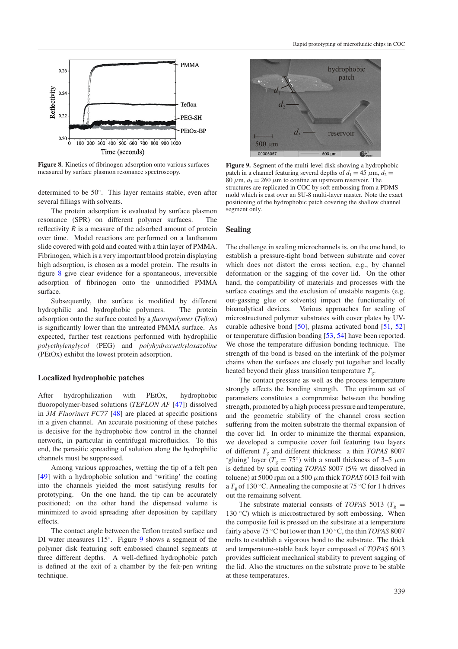

**Figure 8.** Kinetics of fibrinogen adsorption onto various surfaces measured by surface plasmon resonance spectroscopy.

determined to be 50◦. This layer remains stable, even after several fillings with solvents.

The protein adsorption is evaluated by surface plasmon resonance (SPR) on different polymer surfaces. reflectivity  $R$  is a measure of the adsorbed amount of protein over time. Model reactions are performed on a lanthanum slide covered with gold and coated with a thin layer of PMMA. Fibrinogen, which is a very important blood protein displaying high adsorption, is chosen as a model protein. The results in figure 8 give clear evidence for a spontaneous, irreversible adsorption of fibrinogen onto the unmodified PMMA surface.

Subsequently, the surface is modified by different hydrophilic and hydrophobic polymers. The protein adsorption onto the surface coated by a *fluoropolymer* (*Teflon*) is significantly lower than the untreated PMMA surface. As expected, further test reactions performed with hydrophilic *polyethylenglycol* (PEG) and *polyhydroxyethyloxazoline* (PEtOx) exhibit the lowest protein adsorption.

# **Localized hydrophobic patches**

After hydrophilization with PEtOx, hydrophobic fluoropolymer-based solutions (*TEFLON AF* [\[47](#page-8-0)]) dissolved in *3M Fluorinert FC77* [\[48](#page-8-0)] are placed at specific positions in a given channel. An accurate positioning of these patches is decisive for the hydrophobic flow control in the channel network, in particular in centrifugal microfluidics. To this end, the parasitic spreading of solution along the hydrophilic channels must be suppressed.

Among various approaches, wetting the tip of a felt pen [\[49\]](#page-8-0) with a hydrophobic solution and 'writing' the coating into the channels yielded the most satisfying results for prototyping. On the one hand, the tip can be accurately positioned; on the other hand the dispensed volume is minimized to avoid spreading after deposition by capillary effects.

The contact angle between the Teflon treated surface and DI water measures 115◦. Figure 9 shows a segment of the polymer disk featuring soft embossed channel segments at three different depths. A well-defined hydrophobic patch is defined at the exit of a chamber by the felt-pen writing technique.



**Figure 9.** Segment of the multi-level disk showing a hydrophobic patch in a channel featuring several depths of  $d_1 = 45 \mu m$ ,  $d_2 =$ 80  $\mu$ m,  $d_3 = 260 \mu$ m to confine an upstream reservoir. The structures are replicated in COC by soft embossing from a PDMS mold which is cast over an SU-8 multi-layer master. Note the exact positioning of the hydrophobic patch covering the shallow channel segment only.

## **Sealing**

The challenge in sealing microchannels is, on the one hand, to establish a pressure-tight bond between substrate and cover which does not distort the cross section, e.g., by channel deformation or the sagging of the cover lid. On the other hand, the compatibility of materials and processes with the surface coatings and the exclusion of unstable reagents (e.g. out-gassing glue or solvents) impact the functionality of bioanalytical devices. Various approaches for sealing of microstructured polymer substrates with cover plates by UVcurable adhesive bond [\[50\]](#page-8-0), plasma activated bond [\[51,](#page-8-0) [52](#page-8-0)] or temperature diffusion bonding [\[53](#page-8-0), [54](#page-8-0)] have been reported. We chose the temperature diffusion bonding technique. The strength of the bond is based on the interlink of the polymer chains when the surfaces are closely put together and locally heated beyond their glass transition temperature  $T_g$ .

The contact pressure as well as the process temperature strongly affects the bonding strength. The optimum set of parameters constitutes a compromise between the bonding strength, promoted by a high process pressure and temperature, and the geometric stability of the channel cross section suffering from the molten substrate the thermal expansion of the cover lid. In order to minimize the thermal expansion, we developed a composite cover foil featuring two layers of different *T*<sup>g</sup> and different thickness: a thin *TOPAS* 8007 'gluing' layer ( $T_g = 75°$ ) with a small thickness of 3–5  $\mu$ m is defined by spin coating *TOPAS* 8007 (5% wt dissolved in toluene) at 5000 rpm on a 500 *µ*m thick *TOPAS* 6013 foil with a  $T_g$  of 130 °C. Annealing the composite at 75 °C for 1 h drives out the remaining solvent.

The substrate material consists of *TOPAS* 5013 ( $T_g$  = 130  $°C$ ) which is microstructured by soft embossing. When the composite foil is pressed on the substrate at a temperature fairly above 75 ◦C but lower than 130 ◦C, the thin *TOPAS* 8007 melts to establish a vigorous bond to the substrate. The thick and temperature-stable back layer composed of *TOPAS* 6013 provides sufficient mechanical stability to prevent sagging of the lid. Also the structures on the substrate prove to be stable at these temperatures.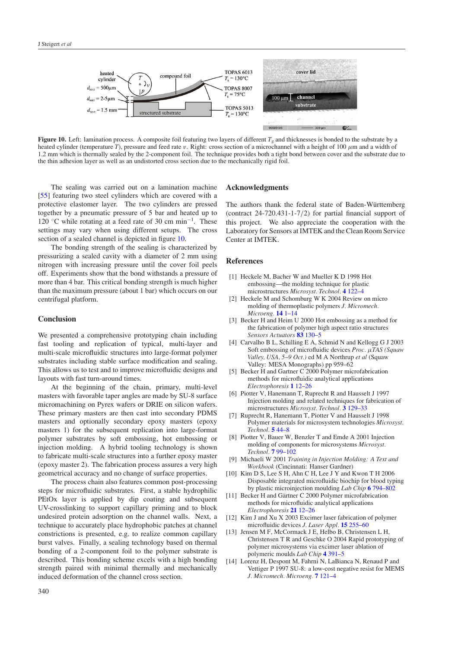<span id="page-7-0"></span>

**Figure 10.** Left: lamination process. A composite foil featuring two layers of different  $T_g$  and thicknesses is bonded to the substrate by a heated cylinder (temperature *T*), pressure and feed rate *v*. Right: cross section of a microchannel with a height of 100  $\mu$ m and a width of 1.2 mm which is thermally sealed by the 2-component foil. The technique provides both a tight bond between cover and the substrate due to the thin adhesion layer as well as an undistorted cross section due to the mechanically rigid foil.

The sealing was carried out on a lamination machine [\[55\]](#page-8-0) featuring two steel cylinders which are covered with a protective elastomer layer. The two cylinders are pressed together by a pneumatic pressure of 5 bar and heated up to 120 ◦C while rotating at a feed rate of 30 cm min−<sup>1</sup> . These settings may vary when using different setups. The cross section of a sealed channel is depicted in figure 10.

The bonding strength of the sealing is characterized by pressurizing a sealed cavity with a diameter of 2 mm using nitrogen with increasing pressure until the cover foil peels off. Experiments show that the bond withstands a pressure of more than 4 bar. This critical bonding strength is much higher than the maximum pressure (about 1 bar) which occurs on our centrifugal platform.

# **Conclusion**

We presented a comprehensive prototyping chain including fast tooling and replication of typical, multi-layer and multi-scale microfluidic structures into large-format polymer substrates including stable surface modification and sealing. This allows us to test and to improve microfluidic designs and layouts with fast turn-around times.

At the beginning of the chain, primary, multi-level masters with favorable taper angles are made by SU-8 surface micromachining on Pyrex wafers or DRIE on silicon wafers. These primary masters are then cast into secondary PDMS masters and optionally secondary epoxy masters (epoxy masters 1) for the subsequent replication into large-format polymer substrates by soft embossing, hot embossing or injection molding. A hybrid tooling technology is shown to fabricate multi-scale structures into a further epoxy master (epoxy master 2). The fabrication process assures a very high geometrical accuracy and no change of surface properties.

The process chain also features common post-processing steps for microfluidic substrates. First, a stable hydrophilic PEtOx layer is applied by dip coating and subsequent UV-crosslinking to support capillary priming and to block undesired protein adsorption on the channel walls. Next, a technique to accurately place hydrophobic patches at channel constrictions is presented, e.g. to realize common capillary burst valves. Finally, a sealing technology based on thermal bonding of a 2-component foil to the polymer substrate is described. This bonding scheme excels with a high bonding strength paired with minimal thermally and mechanically induced deformation of the channel cross section.

#### **Acknowledgments**

The authors thank the federal state of Baden-Württemberg (contract 24-720.431-1-7*/*2) for partial financial support of this project. We also appreciate the cooperation with the Laboratory for Sensors at IMTEK and the Clean Room Service Center at IMTEK.

# **References**

- [1] Heckele M, Bacher W and Mueller K D 1998 Hot embossing—the molding technique for plastic microstructures *Microsyst. Technol.* **4** [122–4](http://dx.doi.org/10.1007/s005420050112)
- [2] Heckele M and Schomburg W K 2004 Review on micro molding of thermoplastic polymers *J. Micromech. Microeng.* **14** [1–14](http://dx.doi.org/10.1088/0960-1317/14/3/R01)
- [3] Becker H and Heim U 2000 Hot embossing as a method for the fabrication of polymer high aspect ratio structures *Sensors Actuators* **83** [130–5](http://dx.doi.org/10.1016/S0924-4247(00)00296-X)
- [4] Carvalho B L, Schilling E A, Schmid N and Kellogg G J 2003 Soft embossing of microfluidic devices *Proc. µTAS (Squaw Valley, USA, 5–9 Oct.)* ed M A Northrup *et al* (Squaw Valley: MESA Monographs) pp 959–62
- [5] Becker H and Gartner C 2000 Polymer microfabrication methods for microfluidic analytical applications *Electrophoresis* **1** [12–26](http://dx.doi.org/10.1002/(SICI)1522-2683(20000101)21:1<12::AID-ELPS12>3.0.CO;2-7)
- [6] Piotter V, Hanemann T, Ruprecht R and Hausselt J 1997 Injection molding and related techniques for fabrication of microstructures *Microsyst. Technol.* **3** [129–33](http://dx.doi.org/10.1007/s005420050069)
- [7] Ruprecht R, Hanemann T, Piotter V and Hausselt J 1998 Polymer materials for microsystem technologies *Microsyst. Technol.* **5** [44–8](http://dx.doi.org/10.1007/s005420050139)
- [8] Piotter V, Bauer W, Benzler T and Emde A 2001 Injection molding of components for microsystems *Microsyst. Technol.* **7** [99–102](http://dx.doi.org/10.1007/s005420100094)
- [9] Michaeli W 2001 *Training in Injection Molding: A Text and Workbook* (Cincinnati: Hanser Gardner)
- [10] Kim D S, Lee S H, Ahn C H, Lee J Y and Kwon T H 2006 Disposable integrated microfluidic biochip for blood typing by plastic microinjection moulding *Lab Chip* **6** [794–802](http://dx.doi.org/10.1039/b516495h)
- [11] Becker H and Gärtner C 2000 Polymer microfabrication methods for microfluidic analytical applications *Electrophoresis* **21** [12–26](http://dx.doi.org/10.1002/(SICI)1522-2683(20000101)21:1<12::AID-ELPS12>3.0.CO;2-7)
- [12] Kim J and Xu X 2003 Excimer laser fabrication of polymer microfluidic devices *J. Laser Appl.* **15** [255–60](http://dx.doi.org/10.2351/1.1585085)
- [13] Jensen M F, McCormack J E, Helbo B, Christensen L H, Christensen T R and Geschke O 2004 Rapid prototyping of polymer microsystems via excimer laser ablation of polymeric moulds *Lab Chip* **4** [391–5](http://dx.doi.org/10.1039/b403037k)
- [14] Lorenz H, Despont M, Fahrni N, LaBianca N, Renaud P and Vettiger P 1997 SU-8: a low-cost negative resist for MEMS *J. Micromech. Microeng.* **7** [121–4](http://dx.doi.org/10.1088/0960-1317/7/3/010)